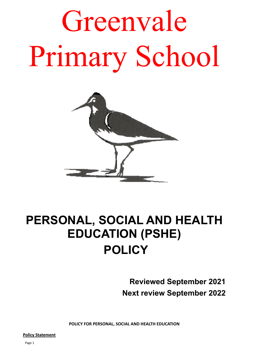Greenvale Primary School



# **PERSONAL, SOCIAL AND HEALTH EDUCATION (PSHE) POLICY**

 **Reviewed September 2021 Next review September 2022**

**POLICY FOR PERSONAL, SOCIAL AND HEALTH EDUCATION**

**Policy Statement**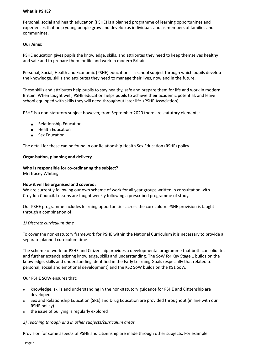#### **What is PSHE?**

Personal, social and health education (PSHE) is a planned programme of learning opportunities and experiences that help young people grow and develop as individuals and as members of families and communities.

#### **Our Aims:**

PSHE education gives pupils the knowledge, skills, and attributes they need to keep themselves healthy and safe and to prepare them for life and work in modern Britain.

Personal, Social, Health and Economic (PSHE) education is a school subject through which pupils develop the knowledge, skills and attributes they need to manage their lives, now and in the future.

These skills and attributes help pupils to stay healthy, safe and prepare them for life and work in modern Britain. When taught well, PSHE education helps pupils to achieve their academic potential, and leave school equipped with skills they will need throughout later life. (PSHE Association)

PSHE is a non-statutory subject however, from September 2020 there are statutory elements:

- Relationship Education
- Health Education
- Sex Education

The detail for these can be found in our Relationship Health Sex Education (RSHE) policy.

#### **Organisation, planning and delivery**

#### **Who is responsible for co-ordinating the subject?**

MrsTracey Whiting

#### **How it will be organised and covered:**

We are currently following our own scheme of work for all year groups written in consultation with Croydon Council. Lessons are taught weekly following a prescribed programme of study.

Our PSHE programme includes learning opportunities across the curriculum. PSHE provision is taught through a combination of:

#### *1) Discrete curriculum time*

To cover the non-statutory framework for PSHE within the National Curriculum it is necessary to provide a separate planned curriculum time.

The scheme of work for PSHE and Citizenship provides a developmental programme that both consolidates and further extends existing knowledge, skills and understanding. The SoW for Key Stage 1 builds on the knowledge, skills and understanding identified in the Early Learning Goals (especially that related to personal, social and emotional development) and the KS2 SoW builds on the KS1 SoW.

Our PSHE SOW ensures that:

- knowledge, skills and understanding in the non-statutory guidance for PSHE and Citizenship are developed
- Sex and Relationship Education (SRE) and Drug Education are provided throughout (in line with our RSHE policy)
- the issue of bullying is regularly explored

## *2) Teaching through and in other subjects/curriculum areas*

Provision for some aspects of PSHE and citizenship are made through other subjects. For example: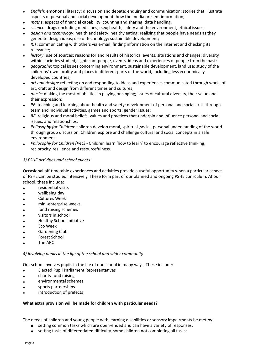- English: emotional literacy; discussion and debate; enquiry and communication; stories that illustrate aspects of personal and social development; how the media present information;
- *maths*: aspects of financial capability; counting and sharing; data handling;
- science: drugs (including medicines); sex; health; safety and the environment; ethical issues;
- design and technology: health and safety; healthy eating; realising that people have needs as they generate design ideas; use of technology; sustainable development;
- *ICT*: communicating with others via e-mail; finding information on the internet and checking its relevance;
- history: use of sources; reasons for and results of historical events, situations and changes; diversity within societies studied; significant people, events, ideas and experiences of people from the past;
- *geography*: topical issues concerning environment, sustainable development, land use; study of the childrens' own locality and places in different parts of the world, including less economically developed countries;
- art and design: reflecting on and responding to ideas and experiences communicated through works of art, craft and design from different times and cultures;
- *music*: making the most of abilities in playing or singing; issues of cultural diversity, their value and their expression;
- *PE*: teaching and learning about health and safety; development of personal and social skills through team and individual activities, games and sports; gender issues;
- *RE*: religious and moral beliefs, values and practices that underpin and influence personal and social issues, and relationships.
- *Philosophy for Children*: children develop moral, spiritual ,social, personal understanding of the world through group discussion. Children explore and challenge cultural and social concepts in a safe environment.
- Philosophy for Children (P4C) Children learn 'how to learn' to encourage reflective thinking, reciprocity, resilience and resourcefulness.

# *3) PSHE activities and school events*

Occasional off-timetable experiences and activities provide a useful opportunity when a particular aspect of PSHE can be studied intensively. These form part of our planned and ongoing PSHE curriculum. At our school, these include:

- residential visits
- wellbeing day
- Cultures Week
- mini-enterprise weeks
- fund raising schemes
- visitors in school
- Healthy School initiative
- Eco Week
- Gardening Club
- Forest School
- The ARC

## *4) Involving pupils in the life of the school and wider community*

Our school involves pupils in the life of our school in many ways. These include:

- Elected Pupil Parliament Representatives
- charity fund raising
- environmental schemes
- sports partnerships
- introduction of prefects

## **What extra provision will be made for children with particular needs?**

The needs of children and young people with learning disabilities or sensory impairments be met by:

- setting common tasks which are open-ended and can have a variety of responses;
	- setting tasks of differentiated difficulty, some children not completing all tasks;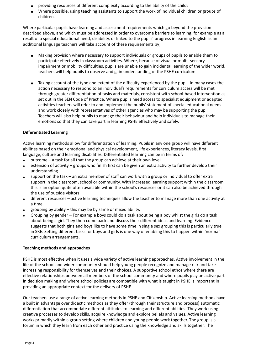- providing resources of different complexity according to the ability of the child;
- Where possible, using teaching assistants to support the work of individual children or groups of children.

Where particular pupils have learning and assessment requirements which go beyond the provision described above, and which must be addressed in order to overcome barriers to learning, for example as a result of a special educational need, disability, or linked to the pupils' progress in learning English as an additional language teachers will take account of these requirements by;

- Making provision where necessary to support individuals or groups of pupils to enable them to participate effectively in classroom activities. Where, because of visual or multi- sensory impairment or mobility difficulties, pupils are unable to gain incidental learning of the wider world, teachers will help pupils to observe and gain understanding of the PSHE curriculum.
- Taking account of the type and extent of the difficulty experienced by the pupil. In many cases the action necessary to respond to an individual's requirements for curriculum access will be met through greater differentiation of tasks and materials, consistent with school-based intervention as set out in the SEN Code of Practice. Where pupils need access to specialist equipment or adapted activities teachers will refer to and implement the pupils' statement of special educational needs and work closely with representatives of other agencies who may be supporting the pupil. Teachers will also help pupils to manage their behaviour and help individuals to manage their emotions so that they can take part in learning PSHE effectively and safely.

# **Differentiated Learning**

Active learning methods allow for differentiation of learning. Pupils in any one group will have different abilities based on their emotional and physical development, life experiences, literacy levels, first language, culture and learning disabilities. Differentiated learning can be in terms of:

- $\bullet$  outcome a task for all that the group can achieve at their own level
- extension of activity groups who finish first can be given an extra activity to further develop their understanding
- support on the task an extra member of staff can work with a group or individual to offer extra support in the classroom, school or community. With increased learning support within the classroom this is an option quite often available within the school's resources or it can also be achieved through the use of outside visitors
- different resources active learning techniques allow the teacher to manage more than one activity at a time
- grouping by ability  $-$  this may be by same or mixed ability.
- Grouping by gender For example boys could do a task about being a boy whilst the girls do a task about being a girl. They then come back and discuss their different ideas and learning. Evidence suggests that both girls and boys like to have some time in single sex grouping this is particularly true in SRE. Setting different tasks for boys and girls is one way of enabling this to happen within 'normal' curriculum arrangements.

## **Teaching methods and approaches**

PSHE is most effective when it uses a wide variety of active learning approaches. Active involvement in the life of the school and wider community should help young people recognize and manage risk and take increasing responsibility for themselves and their choices. A supportive school ethos where there are effective relationships between all members of the school community and where pupils play an active part in decision making and where school policies are compatible with what is taught in PSHE is important in providing an appropriate context for the delivery of PSHE

Our teachers use a range of active learning methods in PSHE and Citizenship. Active learning methods have a built in advantage over didactic methods as they offer (through their structure and process) automatic differentiation that accommodate different attitudes to learning and different abilities. They work using creative processes to develop skills, acquire knowledge and explore beliefs and values. Active learning works primarily within a group setting where children and young people work together. The group is a forum in which they learn from each other and practice using the knowledge and skills together. The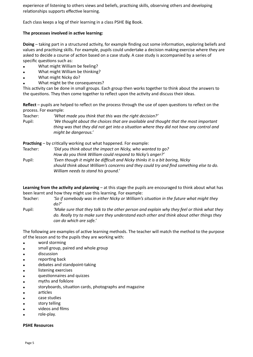experience of listening to others views and beliefs, practising skills, observing others and developing relationships supports effective learning.

Each class keeps a log of their learning in a class PSHE Big Book.

#### **The processes involved in active learning:**

**Doing** – taking part in a structured activity, for example finding out some information, exploring beliefs and values and practising skills. For example, pupils could undertake a decision making exercise where they are asked to decide a course of action based on a case study. A case study is accompanied by a series of specific questions such as:

- What might William be feeling?
- What might William be thinking?
- What might Nicky do?
- What might be the consequences?

This activity can be done in small groups. Each group then works together to think about the answers to the questions. They then come together to reflect upon the activity and discuss their ideas.

**Reflect** – pupils are helped to reflect on the process through the use of open questions to reflect on the process. For example:

Teacher: *'What made you think that this was the right decision?'* Pupil: *'We thought about the choices that are available and thought that the most important thing was that they did not get into a situation where they did not have any control and might be dangerous.'*

**Practising** – by critically working out what happened. For example:

Teacher: *'Did you think about the impact on Nicky, who wanted to go? How do you think William could respond to Nicky's anger?'* Pupil: *'Even though it might be difficult and Nicky thinks it is a bit boring, Nicky should think about William's concerns and they could try and find something else to do. William needs to stand his ground.'*

**Learning from the activity and planning** – at this stage the pupils are encouraged to think about what has been learnt and how they might use this learning. For example:

Teacher: *'So if somebody was in either Nicky or William's situation in the future what might they do?'*

Pupil: *'Make sure that they talk to the other person and explain why they feel or think what they do. Really try to make sure they understand each other and think about other things they can do which are safe.'*

The following are examples of active learning methods. The teacher will match the method to the purpose of the lesson and to the pupils they are working with:

- word storming
- small group, paired and whole group
- discussion
- reporting back
- debates and standpoint-taking
- listening exercises
- questionnaires and quizzes
- myths and folklore
- storyboards, situation cards, photographs and magazine
- articles
- case studies
- story telling
- videos and films
- role-play.

#### **PSHE Resources**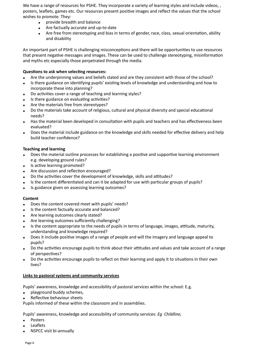We have a range of resources for PSHE. They incorporate a variety of learning styles and include videos, , posters, leaflets, games etc. Our resources present positive images and reflect the values that the school wishes to promote. They:

- provide breadth and balance
- Are factually accurate and up-to-date
- Are free from stereotyping and bias in terms of gender, race, class, sexual orientation, ability and disability

An important part of PSHE is challenging misconceptions and there will be opportunities to use resources that present negative messages and images. These can be used to challenge stereotyping, misinformation and myths etc especially those perpetrated through the media.

## **Questions to ask when selecting resources:**

- Are the underpinning values and beliefs stated and are they consistent with those of the school?
- Is there guidance on identifying pupils' existing levels of knowledge and understanding and how to incorporate these into planning?
- Do activities cover a range of teaching and learning styles?
- Is there guidance on evaluating activities?
- Are the materials free from stereotypes?
- Do the materials take account of religious, cultural and physical diversity and special educational needs?
- Has the material been developed in consultation with pupils and teachers and has effectiveness been evaluated?
- Does the material include guidance on the knowledge and skills needed for effective delivery and help build teacher confidence?

#### **Teaching and learning**

- Does the material outline processes for establishing a positive and supportive learning environment e.g. developing ground rules?
- Is active learning promoted?
- Are discussion and reflection encouraged?
- Do the activities cover the development of knowledge, skills and attitudes?
- Is the content differentiated and can it be adapted for use with particular groups of pupils?
- Is guidance given on assessing learning outcomes?

#### **Content**

- Does the content covered meet with pupils' needs?
- Is the content factually accurate and balanced?
- Are learning outcomes clearly stated?
- Are learning outcomes sufficiently challenging?
- Is the content appropriate to the needs of pupils in terms of language, images, attitude, maturity, understanding and knowledge required?
- Does it include positive images of a range of people and will the imagery and language appeal to pupils?
- Do the activities encourage pupils to think about their attitudes and values and take account of a range of perspectives?
- Do the activities encourage pupils to reflect on their learning and apply it to situations in their own lives?

#### **Links to pastoral systems and community services**

Pupils' awareness, knowledge and accessibility of pastoral services within the school: E.g.

- playground buddy schemes,
- Reflective behaviour sheets

Pupils informed of these within the classroom and in assemblies.

Pupils' awareness, knowledge and accessibility of community services: *Eg Childline,* 

- **Posters**
- **Leaflets**
- NSPCC visit bi-annually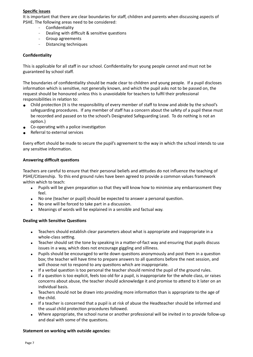#### **Specific issues**

It is important that there are clear boundaries for staff, children and parents when discussing aspects of PSHE. The following areas need to be considered:

- Confidentiality
- Dealing with difficult & sensitive questions
- Group agreements
- Distancing techniques

#### **Confidentiality**

This is applicable for all staff in our school. Confidentiality for young people cannot and must not be guaranteed by school staff.

The boundaries of confidentiality should be made clear to children and young people. If a pupil discloses information which is sensitive, not generally known, and which the pupil asks not to be passed on, the request should be honoured unless this is unavoidable for teachers to fulfil their professional responsibilities in relation to:

- Child protection (It is the responsibility of every member of staff to know and abide by the school's safeguarding procedures. If any member of staff has a concern about the safety of a pupil these must be recorded and passed on to the school's Designated Safeguarding Lead. To do nothing is not an option.)
- Co-operating with a police investigation
- Referral to external services

Every effort should be made to secure the pupil's agreement to the way in which the school intends to use any sensitive information.

#### **Answering difficult questions**

Teachers are careful to ensure that their personal beliefs and attitudes do not influence the teaching of PSHE/Citizenship. To this end ground rules have been agreed to provide a common values framework within which to teach:

- Pupils will be given preparation so that they will know how to minimise any embarrassment they feel.
- No one (teacher or pupil) should be expected to answer a personal question.
- No one will be forced to take part in a discussion.
- Meanings of words will be explained in a sensible and factual way.

#### **Dealing with Sensitive Questions**

- Teachers should establish clear parameters about what is appropriate and inappropriate in a whole-class setting.
- Teacher should set the tone by speaking in a matter-of-fact way and ensuring that pupils discuss issues in a way, which does not encourage giggling and silliness.
- Pupils should be encouraged to write down questions anonymously and post them in a question box; the teacher will have time to prepare answers to all questions before the next session, and will choose not to respond to any questions which are inappropriate.
- If a verbal question is too personal the teacher should remind the pupil of the ground rules.
- If a question is too explicit, feels too old for a pupil, is inappropriate for the whole class, or raises concerns about abuse, the teacher should acknowledge it and promise to attend to it later on an individual basis.
- Teachers should not be drawn into providing more information than is appropriate to the age of the child.
- If a teacher is concerned that a pupil is at risk of abuse the Headteacher should be informed and the usual child protection procedures followed.
- Where appropriate, the school nurse or another professional will be invited in to provide follow-up and deal with some of the questions.

#### **Statement on working with outside agencies:**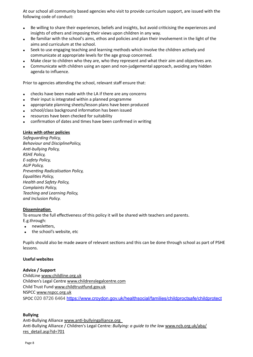At our school all community based agencies who visit to provide curriculum support, are issued with the following code of conduct:

- Be willing to share their experiences, beliefs and insights, but avoid criticising the experiences and insights of others and imposing their views upon children in any way.
- Be familiar with the school's aims, ethos and policies and plan their involvement in the light of the aims and curriculum at the school.
- Seek to use engaging teaching and learning methods which involve the children actively and communicate at appropriate levels for the age group concerned.
- Make clear to children who they are, who they represent and what their aim and objectives are.
- Communicate with children using an open and non-judgemental approach, avoiding any hidden agenda to influence.

Prior to agencies attending the school, relevant staff ensure that:

- checks have been made with the LA if there are any concerns
- their input is integrated within a planned programme
- appropriate planning sheets/lesson plans have been produced
- school/class background information has been issued
- resources have been checked for suitability
- confirmation of dates and times have been confirmed in writing

#### **Links with other policies**

*Safeguarding Policy, Behaviour and DisciplinePolicy, Anti-bullying Policy, RSHE Policy, E-safety Policy, AUP Policy, Preventing Radicalisation Policy, Equalities Policy, Health and Safety Policy, Complaints Policy, Teaching and Learning Policy, and Inclusion Policy.*

#### **Dissemination**

To ensure the full effectiveness of this policy it will be shared with teachers and parents. E.g.through:

- newsletters,
- the school's website, etc

Pupils should also be made aware of relevant sections and this can be done through school as part of PSHE lessons.

#### **Useful websites**

#### **Advice / Support**

ChildLine [www.childline.org.uk](http://www.childline.org.uk) Children's Legal Centre [www.childrenslegalcentre.com](http://www.childrenslegalcentre.com) Child Trust Fund [www.childtrustfund.gov.uk](http://www.childtrustfund.gov.uk) NSPCC [www.nspcc.org.uk](http://www.nspcc.org.uk) SPOC 020 8726 6464 <https://www.croydon.gov.uk/healthsocial/families/childproctsafe/childprotect>

## **Bullying**

Anti-Bullying Alliance [www.anti-bullyingalliance.org](http://www.anti-bullyingalliance.org)  Anti-Bullying Alliance / Children's Legal Centre: *Bullying: a guide to the law* [www.ncb.org.uk/aba/](http://www.ncb.org.uk/aba/res_detail.asp?id=701) [res\\_detail.asp?id=701](http://www.ncb.org.uk/aba/res_detail.asp?id=701)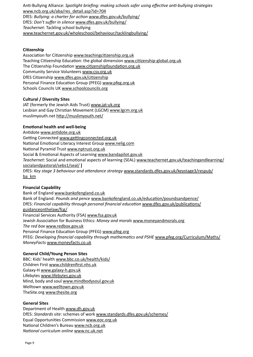Anti-Bullying Alliance: *Spotlight briefing: making schools safer using effective anti-bullying strategies*  [www.ncb.org.uk/aba/res\\_detail.asp?id=704](http://www.ncb.org.uk/aba/res_detail.asp?id=704) DfES: *Bullying: a charter for action* [www.dfes.gov.uk/bullying/](http://www.dfes.gov.uk/bullying/) DfES: *Don't suffer in silence* [www.dfes.gov.uk/bullying/](http://www.dfes.gov.uk/bullying/) *Teachernet*: Tackling school bullying [www.teachernet.gov.uk/wholeschool/behaviour/tacklingbullying/](http://www.teachernet.gov.uk/wholeschool/behaviour/tacklingbullying/)

#### **Citizenship**

Association for Citizenship [www.teachingcitizenship.org.uk](http://www.teachingcitizenship.org.uk) Teaching Citizenship Education: the global dimension [www.citizenship-global.org.uk](http://www.citizenship-global.org.uk) The Citizenship Foundation [www.citizenshipfoundation.org.uk](http://www.citizenshipfoundation.org.uk) Community Service Volunteers [www.csv.org.uk](http://www.csv.org.uk) DfES Citizenship [www.dfes.gov.uk/citizenship](http://www.dfes.gov.uk/citizenship) Personal Finance Education Group (PFEG) [www.pfeg.org.uk](http://www.pfeg.org.uk) Schools Councils UK [www.schoolcouncils.org](http://www.schoolcouncils.org)

#### **Cultural / Diversity Sites**

JAT (formerly the Jewish Aids Trust) [www.jat-uk.org](http://www.jat-uk.org) Lesbian and Gay Christian Movement (LGCM) [www.lgcm.org.uk](http://www.lgcm.org.uk) muslimyouth.net <http://muslimyouth.net/>

#### **Emotional health and well-being**

Antidote [www.antidote.org.uk](http://www.antidote.org.uk) Getting Connected [www.gettingconnected.org.uk](http://www.gettingconnected.org.uk) National Emotional Literacy Interest Group [www.nelig.com](http://www.nelig.com) National Pyramid Trust [www.nptrust.org.uk](http://www.nptrust.org.uk) Social & Emotional Aspects of Learning [www.bandapilot.gov.uk](http://www.bandapilot.gov.uk) *Teachernet*: Social and emotional aspects of learning (SEAL) [www.teachernet.gov.uk/teachingandlearning/](http://www.teachernet.gov.uk/teachingandlearning/socialandpastoral/sebs1/seal/) [socialandpastoral/sebs1/seal/](http://www.teachernet.gov.uk/teachingandlearning/socialandpastoral/sebs1/seal/) **]**  DfES: *Key stage 3 behaviour and attendance strategy* [www.standards.dfes.gov.uk/keystage3/respub/](http://www.standards.dfes.gov.uk/keystage3/respub/ba_km) [ba\\_km](http://www.standards.dfes.gov.uk/keystage3/respub/ba_km)

#### **Financial Capability**

Bank of England [www.bankofengland.co.uk](http://www.bankofengland.co.uk) Bank of England: *Pounds and pence* [www.bankofengland.co.uk/education/poundsandpence/](http://www.bankofengland.co.uk/education/poundsandpence/) DfES: *Financial capability through personal financial education* [www.dfes.gov.uk/publications/](http://www.dfes.gov.uk/publications/guidanceonthelaw/fcg/) [guidanceonthelaw/fcg/](http://www.dfes.gov.uk/publications/guidanceonthelaw/fcg/) Financial Services Authority (FSA) [www.fsa.gov.uk](http://www.fsa.gov.uk) Jewish Association for Business Ethics: *Money and morals* [www.moneyandmorals.org](http://www.moneyandmorals.org) *The red box* [www.redbox.gov.uk](http://www.redbox.gov.uk) Personal Finance Education Group (PFEG) [www.pfeg.org](http://www.pfeg.org) PFEG: *Developing financial capability through mathematics and PSHE* [www.pfeg.org/Curriculum/Maths/](http://www.pfeg.org/Curriculum/Maths/) *MoneyFacts* [www.moneyfacts.co.uk](http://www.moneyfacts.co.uk)

#### **General Child/Young Person Sites**

BBC: Kids' health [www.bbc.co.uk/health/kids/](http://www.bbc.co.uk/health/kids/) Children First [www.childrenfirst.nhs.uk](http://www.childrenfirst.nhs.uk) Galaxy-H [www.galaxy-h.gov.uk](http://www.galaxy-h.gov.uk) Lifebytes [www.lifebytes.gov.uk](http://www.lifebytes.gov.uk) Mind, body and soul [www.mindbodysoul.gov.uk](http://www.mindbodysoul.gov.uk) Welltown [www.welltown.gov.uk](http://www.welltown.gov.uk) TheSite.org [www.thesite.org](http://www.thesite.org)

#### **General Sites**

Department of Health [www.dh.gov.uk](http://www.dh.gov.uk) DfES: *Standards site*: schemes of work [www.standards.dfes.gov.uk/schemes/](http://www.standards.dfes.gov.uk/schemes/) Equal Opportunities Commission [www.eoc.org.uk](http://www.eoc.org.uk) National Children's Bureau [www.ncb.org.uk](http://www.ncb.org.uk) *National curriculum online* [www.nc.uk.net](http://www.nc.uk.net)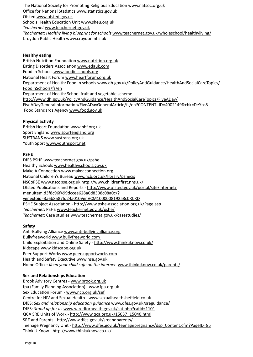The National Society for Promoting Religious Education [www.natsoc.org.uk](http://www.natsoc.org.uk) Office for National Statistics [www.statistics.gov.uk](http://www.statistics.gov.uk) Ofsted [www.ofsted.gov.uk](http://www.ofsted.gov.uk) Schools Health Education Unit [www.sheu.org.uk](http://www.sheu.org.uk) *Teachernet* [www.teachernet.gov.uk](http://www.teachernet.gov.uk) *Teachernet*: *Healthy living blueprint for schools* [www.teachernet.gov.uk/wholeschool/healthyliving/](http://www.teachernet.gov.uk/wholeschool/healthyliving/) Croydon Public Health [www.croydon.nhs.uk](http://www.croydon.nhs.uk)

## **Healthy eating**

British Nutrition Foundation [www.nutrition.org.uk](http://www.nutrition.org.uk) Eating Disorders Association [www.edauk.com](http://www.edauk.com) Food in Schools [www.foodinschools.org](http://www.foodinschools.org) National Heart Forum [www.heartforum.org.uk](http://www.heartforum.org.uk) Department of Health: Food in schools [www.dh.gov.uk/PolicyAndGuidance/HealthAndSocialCareTopics/](http://www.dh.gov.uk/PolicyAndGuidance/HealthAndSocialCareTopics/FoodInSchools/fs/en) [FoodInSchools/fs/en](http://www.dh.gov.uk/PolicyAndGuidance/HealthAndSocialCareTopics/FoodInSchools/fs/en) Department of Health: School fruit and vegetable scheme [http://www.dh.gov.uk/PolicyAndGuidance/HealthAndSocialCareTopics/FiveADay/](http://www.dh.gov.uk/PolicyAndGuidance/HealthAndSocialCareTopics/FiveADay/FiveADayGeneralInformation/FiveADayGeneralArticle/fs/en?CONTENT_ID=4002149&chk=DeYbs5) [FiveADayGeneralInformation/FiveADayGeneralArticle/fs/en?CONTENT\\_ID=4002149&chk=DeYbs5](http://www.dh.gov.uk/PolicyAndGuidance/HealthAndSocialCareTopics/FiveADay/FiveADayGeneralInformation/FiveADayGeneralArticle/fs/en?CONTENT_ID=4002149&chk=DeYbs5) Food Standards Agency [www.food.gov.uk](http://www.food.gov.uk)

# **Physical activity**

British Heart Foundation [www.bhf.org.uk](http://www.bhf.org.uk) Sport England [www.sportengland.org](http://www.sportengland.org) SUSTRANS [www.sustrans.org.uk](http://www.sustrans.org.uk) Youth Sport [www.youthsport.net](http://www.youthsport.net)

# **PSHE**

DfES PSHE [www.teachernet.gov.uk/pshe](http://www.teachernet.gov.uk/pshe) Healthy Schools [www.healthyschools.gov.uk](http://www.healthyschools.gov.uk) Make A Connection [www.makeaconnection.org](http://www.makeaconnection.org) National Children's Bureau [www.ncb.org.uk/library/pshecis](http://www.ncb.org.uk/library/pshecis) NSCoPSE [www.nscopse.org.uk](http://www.nscopse.org.uk) <http://www.childrenfirst.nhs.uk/> Ofsted Publications and Reports - [http://www.ofsted.gov.uk/portal/site/Internet/](http://www.ofsted.gov.uk/portal/site/Internet/menuitem.d3f8c96f499dccee628a0d8308c08a0c/?vgnextoid=3a6b8587fd24a010VgnVCM1000008192a8c0RCRD) [menuitem.d3f8c96f499dccee628a0d8308c08a0c/?](http://www.ofsted.gov.uk/portal/site/Internet/menuitem.d3f8c96f499dccee628a0d8308c08a0c/?vgnextoid=3a6b8587fd24a010VgnVCM1000008192a8c0RCRD) [vgnextoid=3a6b8587fd24a010VgnVCM1000008192a8c0RCRD](http://www.ofsted.gov.uk/portal/site/Internet/menuitem.d3f8c96f499dccee628a0d8308c08a0c/?vgnextoid=3a6b8587fd24a010VgnVCM1000008192a8c0RCRD) PSHE Subject Association -<http://www.pshe-association.org.uk/Page.asp> *Teachernet*: PSHE [www.teachernet.gov.uk/pshe/](http://www.teachernet.gov.uk/pshe/) *Teachernet*: Case studies [www.teachernet.gov.uk/casestudies/](http://www.teachernet.gov.uk/casestudies/)

## **Safety**

Anti-Bullying Alliance [www.anti-bullyingalliance.org](http://www.anti-bullyingalliance.org) Bullyfreeworld [www.bullyfreeworld.com](http://www.bullyfreeworld.com)  Child Exploitation and Online Safety - <http://www.thinkuknow.co.uk/> Kidscape [www.kidscape.org.uk](http://www.kidscape.org.uk) Peer Support Works [www.peersupportworks.com](http://www.peersupportworks.com) Health and Safety Executive [www.hse.gov.uk](http://www.hse.gov.uk) Home Office: *Keep your child safe on the internet* [www.thinkuknow.co.uk/parents/](http://www.thinkuknow.co.uk/parents/)

## **Sex and Relationships Education**

Brook Advisory Centres - [www.brook.org.uk](http://www.brook.org.uk) fpa (Family Planning Association) - [www.fpa.org.uk](http://www.fpa.org.uk) Sex Education Forum - [www.ncb.org.uk/sef](http://www.ncb.org.uk/sef) Centre for HIV and Sexual Health - [www.sexualhealthsheffield.co.uk](http://www.sexualhealthsheffield.co.uk) DfES: *Sex and relationship education guidance* [www.dfes.gov.uk/sreguidance/](http://www.dfes.gov.uk/sreguidance/) DfES: *Stand up for us* [www.wiredforhealth.gov.uk/cat.php?catid=1101](http://www.wiredforhealth.gov.uk/cat.php?catid=1101) QCA SRE Units of Work - [http://www.qca.org.uk/15037\\_15040.html](http://www.qca.org.uk/15037_15040.html) SRE and Parents -<http://www.dfes.gov.uk/sreandparents/> Teenage Pregnancy Unit - [http://www.dfes.gov.uk/teenagepregnancy/dsp\\_Content.cfm?PageID=85](http://www.dfes.gov.uk/teenagepregnancy/dsp_Content.cfm?PageID=85) Think U Know - <http://www.thinkuknow.co.uk/>